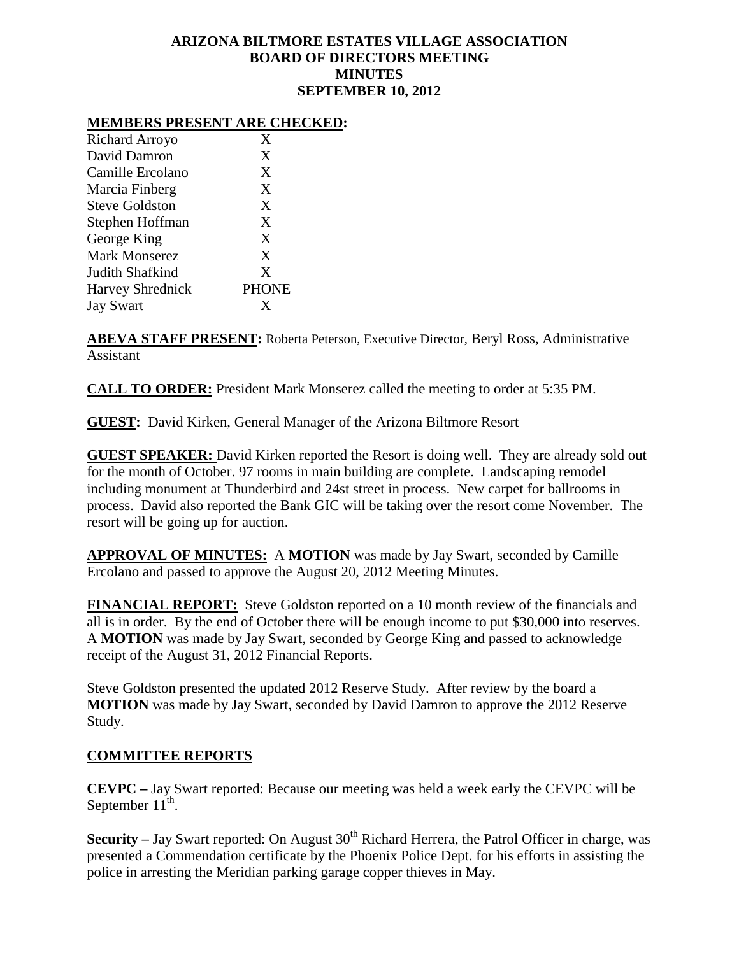# **ARIZONA BILTMORE ESTATES VILLAGE ASSOCIATION BOARD OF DIRECTORS MEETING MINUTES SEPTEMBER 10, 2012**

### **MEMBERS PRESENT ARE CHECKED:**

| X            |
|--------------|
| X            |
| X            |
| X            |
| X            |
| X            |
| X            |
| X            |
| X            |
| <b>PHONE</b> |
| X            |
|              |

**ABEVA STAFF PRESENT:** Roberta Peterson, Executive Director, Beryl Ross, Administrative Assistant

**CALL TO ORDER:** President Mark Monserez called the meeting to order at 5:35 PM.

**GUEST:** David Kirken, General Manager of the Arizona Biltmore Resort

**GUEST SPEAKER:** David Kirken reported the Resort is doing well. They are already sold out for the month of October. 97 rooms in main building are complete. Landscaping remodel including monument at Thunderbird and 24st street in process. New carpet for ballrooms in process. David also reported the Bank GIC will be taking over the resort come November. The resort will be going up for auction.

**APPROVAL OF MINUTES:** A **MOTION** was made by Jay Swart, seconded by Camille Ercolano and passed to approve the August 20, 2012 Meeting Minutes.

**FINANCIAL REPORT:** Steve Goldston reported on a 10 month review of the financials and all is in order. By the end of October there will be enough income to put \$30,000 into reserves. A **MOTION** was made by Jay Swart, seconded by George King and passed to acknowledge receipt of the August 31, 2012 Financial Reports.

Steve Goldston presented the updated 2012 Reserve Study. After review by the board a **MOTION** was made by Jay Swart, seconded by David Damron to approve the 2012 Reserve Study.

#### **COMMITTEE REPORTS**

**CEVPC –** Jay Swart reported: Because our meeting was held a week early the CEVPC will be September  $11^{th}$ .

**Security** – Jay Swart reported: On August 30<sup>th</sup> Richard Herrera, the Patrol Officer in charge, was presented a Commendation certificate by the Phoenix Police Dept. for his efforts in assisting the police in arresting the Meridian parking garage copper thieves in May.